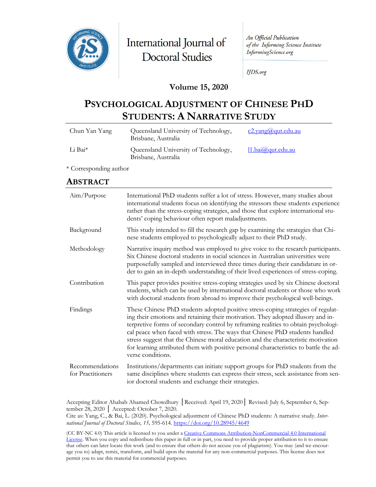

International Journal of **Doctoral Studies** 

An Official Publication of the Informing Science Institute InformingScience.org

**IJDS.org** 

### **Volume 15, 2020**

# **PSYCHOLOGICAL ADJUSTMENT OF CHINESE PHD STUDENTS: A NARRATIVE STUDY**

| Chun Yan Yang | Queensland University of Technology,<br>Brisbane, Australia | c2.yang@qut.edu.au |
|---------------|-------------------------------------------------------------|--------------------|
| Li Bai*       | Queensland University of Technology,<br>Brisbane, Australia | 11.bai@qut.edu.au  |

\* Corresponding author

### **ABSTRACT**

| Aim/Purpose                          | International PhD students suffer a lot of stress. However, many studies about<br>international students focus on identifying the stressors these students experience<br>rather than the stress-coping strategies, and those that explore international stu-<br>dents' coping behaviour often report maladjustments.                                                                                                                                                                                                                          |
|--------------------------------------|-----------------------------------------------------------------------------------------------------------------------------------------------------------------------------------------------------------------------------------------------------------------------------------------------------------------------------------------------------------------------------------------------------------------------------------------------------------------------------------------------------------------------------------------------|
| Background                           | This study intended to fill the research gap by examining the strategies that Chi-<br>nese students employed to psychologically adjust to their PhD study.                                                                                                                                                                                                                                                                                                                                                                                    |
| Methodology                          | Narrative inquiry method was employed to give voice to the research participants.<br>Six Chinese doctoral students in social sciences in Australian universities were<br>purposefully sampled and interviewed three times during their candidature in or-<br>der to gain an in-depth understanding of their lived experiences of stress-coping.                                                                                                                                                                                               |
| Contribution                         | This paper provides positive stress-coping strategies used by six Chinese doctoral<br>students, which can be used by international doctoral students or those who work<br>with doctoral students from abroad to improve their psychological well-beings.                                                                                                                                                                                                                                                                                      |
| Findings                             | These Chinese PhD students adopted positive stress-coping strategies of regulat-<br>ing their emotions and retaining their motivation. They adopted illusory and in-<br>terpretive forms of secondary control by reframing realities to obtain psychologi-<br>cal peace when faced with stress. The ways that Chinese PhD students handled<br>stress suggest that the Chinese moral education and the characteristic motivation<br>for learning attributed them with positive personal characteristics to battle the ad-<br>verse conditions. |
| Recommendations<br>for Practitioners | Institutions/departments can initiate support groups for PhD students from the<br>same disciplines where students can express their stress, seek assistance from sen-<br>ior doctoral students and exchange their strategies.                                                                                                                                                                                                                                                                                                                 |

Accepting Editor Ahabab Ahamed Chowdhury │Received: April 19, 2020│ Revised: July 6, September 6, September 28, 2020 │ Accepted: October 7, 2020.

Cite as: Yang, C., & Bai, L. (2020). Psychological adjustment of Chinese PhD students: A narrative study. *International Journal of Doctoral Studies, 15,* 595-614.<https://doi.org/10.28945/4649>

(CC BY-NC 4.0) This article is licensed to you under a [Creative Commons Attribution-NonCommercial 4.0 International](https://creativecommons.org/licenses/by-nc/4.0/)  [License.](https://creativecommons.org/licenses/by-nc/4.0/) When you copy and redistribute this paper in full or in part, you need to provide proper attribution to it to ensure that others can later locate this work (and to ensure that others do not accuse you of plagiarism). You may (and we encourage you to) adapt, remix, transform, and build upon the material for any non-commercial purposes. This license does not permit you to use this material for commercial purposes.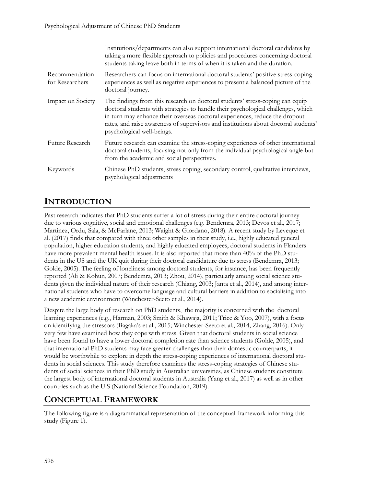|                                   | Institutions/departments can also support international doctoral candidates by<br>taking a more flexible approach to policies and procedures concerning doctoral<br>students taking leave both in terms of when it is taken and the duration.                                                                                                                          |
|-----------------------------------|------------------------------------------------------------------------------------------------------------------------------------------------------------------------------------------------------------------------------------------------------------------------------------------------------------------------------------------------------------------------|
| Recommendation<br>for Researchers | Researchers can focus on international doctoral students' positive stress-coping<br>experiences as well as negative experiences to present a balanced picture of the<br>doctoral journey.                                                                                                                                                                              |
| Impact on Society                 | The findings from this research on doctoral students' stress-coping can equip<br>doctoral students with strategies to handle their psychological challenges, which<br>in turn may enhance their overseas doctoral experiences, reduce the dropout<br>rates, and raise awareness of supervisors and institutions about doctoral students'<br>psychological well-beings. |
| Future Research                   | Future research can examine the stress-coping experiences of other international<br>doctoral students, focusing not only from the individual psychological angle but<br>from the academic and social perspectives.                                                                                                                                                     |
| Keywords                          | Chinese PhD students, stress coping, secondary control, qualitative interviews,<br>psychological adjustments                                                                                                                                                                                                                                                           |

### **INTRODUCTION**

Past research indicates that PhD students suffer a lot of stress during their entire doctoral journey due to various cognitive, social and emotional challenges (e.g. Bendemra, 2013; Devos et al., 2017; Martinez, Ordu, Sala, & McFarlane, 2013; Waight & Giordano, 2018). A recent study by Leveque et al. (2017) finds that compared with three other samples in their study, i.e., highly educated general population, higher education students, and highly educated employees, doctoral students in Flanders have more prevalent mental health issues. It is also reported that more than 40% of the PhD students in the US and the UK quit during their doctoral candidature due to stress (Bendemra, 2013; Golde, 2005). The feeling of loneliness among doctoral students, for instance, has been frequently reported (Ali & Kohun, 2007; Bendemra, 2013; Zhou, 2014), particularly among social science students given the individual nature of their research (Chiang, 2003; Janta et al., 2014), and among international students who have to overcome language and cultural barriers in addition to socialising into a new academic environment (Winchester-Seeto et al., 2014).

Despite the large body of research on PhD students, the majority is concerned with the doctoral learning experiences (e.g., Harman, 2003; Smith & Khawaja, 2011; Trice & Yoo, 2007), with a focus on identifying the stressors (Bagaka's et al., 2015; Winchester-Seeto et al., 2014; Zhang, 2016). Only very few have examined how they cope with stress. Given that doctoral students in social science have been found to have a lower doctoral completion rate than science students (Golde, 2005), and that international PhD students may face greater challenges than their domestic counterparts, it would be worthwhile to explore in depth the stress-coping experiences of international doctoral students in social sciences. This study therefore examines the stress-coping strategies of Chinese students of social sciences in their PhD study in Australian universities, as Chinese students constitute the largest body of international doctoral students in Australia (Yang et al., 2017) as well as in other countries such as the U.S (National Science Foundation, 2019).

### **CONCEPTUAL FRAMEWORK**

The following figure is a diagrammatical representation of the conceptual framework informing this study (Figure 1).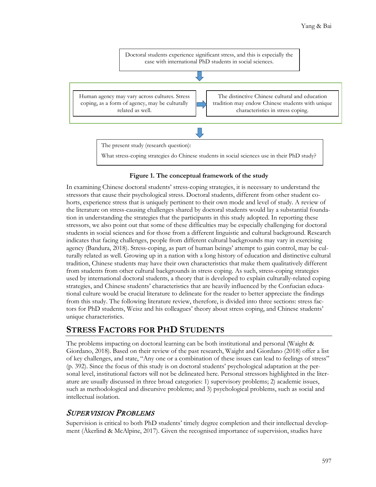

#### **Figure 1. The conceptual framework of the study**

In examining Chinese doctoral students' stress-coping strategies, it is necessary to understand the  stressors that cause their psychological stress. Doctoral students, different from other student cohorts, experience stress that is uniquely pertinent to their own mode and level of study. A review of the literature on stress-causing challenges shared by doctoral students would lay a substantial foundation in understanding the strategies that the participants in this study adopted. In reporting these stressors, we also point out that some of these difficulties may be especially challenging for doctoral students in social sciences and for those from a different linguistic and cultural background. Research indicates that facing challenges, people from different cultural backgrounds may vary in exercising agency (Bandura, 2018). Stress-coping, as part of human beings' attempt to gain control, may be culturally related as well. Growing up in a nation with a long history of education and distinctive cultural tradition, Chinese students may have their own characteristics that make them qualitatively different from students from other cultural backgrounds in stress coping. As such, stress-coping strategies used by international doctoral students, a theory that is developed to explain culturally-related coping strategies, and Chinese students' characteristics that are heavily influenced by the Confucian educational culture would be crucial literature to delineate for the reader to better appreciate the findings from this study. The following literature review, therefore, is divided into three sections: stress factors for PhD students, Weisz and his colleagues' theory about stress coping, and Chinese students' unique characteristics.

## **STRESS FACTORS FOR PHD STUDENTS**

The problems impacting on doctoral learning can be both institutional and personal (Waight & Giordano, 2018). Based on their review of the past research, Waight and Giordano (2018) offer a list of key challenges, and state, "Any one or a combination of these issues can lead to feelings of stress" (p. 392). Since the focus of this study is on doctoral students' psychological adaptation at the personal level, institutional factors will not be delineated here. Personal stressors highlighted in the literature are usually discussed in three broad categories: 1) supervisory problems; 2) academic issues, such as methodological and discursive problems; and 3) psychological problems, such as social and intellectual isolation.

### SUPERVISION PROBLEMS

Supervision is critical to both PhD students' timely degree completion and their intellectual development (Åkerlind & McAlpine, 2017). Given the recognised importance of supervision, studies have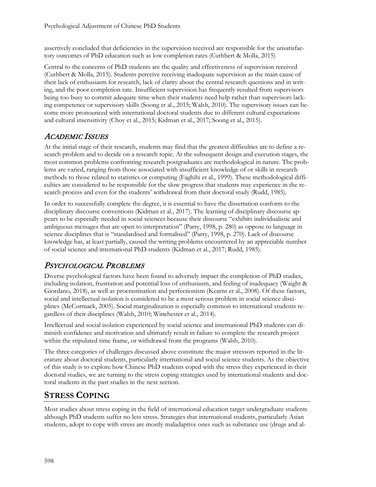assertively concluded that deficiencies in the supervision received are responsible for the unsatisfactory outcomes of PhD education such as low completion rates (Cuthbert & Molla, 2015)

Central to the concerns of PhD students are the quality and effectiveness of supervision received (Cuthbert & Molla, 2015). Students perceive receiving inadequate supervision as the main cause of their lack of enthusiasm for research, lack of clarity about the central research questions and in writing, and the poor completion rate. Insufficient supervision has frequently resulted from supervisors being too busy to commit adequate time when their students need help rather than supervisors lacking competence or supervisory skills (Soong et al., 2015; Walsh, 2010). The supervisory issues can become more pronounced with international doctoral students due to different cultural expectations and cultural insensitivity (Choy et al., 2015; Kidman et al., 2017; Soong et al., 2015).

### ACADEMIC ISSUES

At the initial stage of their research, students may find that the greatest difficulties are to define a research problem and to decide on a research topic. At the subsequent design and execution stages, the most common problems confronting research postgraduates are methodological in nature. The problems are varied, ranging from those associated with insufficient knowledge of or skills in research methods to those related to statistics or computing (Faghihi et al., 1999). These methodological difficulties are considered to be responsible for the slow progress that students may experience in the research process and even for the students' withdrawal from their doctoral study (Rudd, 1985).

In order to successfully complete the degree, it is essential to have the dissertation conform to the disciplinary discourse conventions (Kidman et al., 2017). The learning of disciplinary discourse appears to be especially needed in social sciences because their discourse "exhibits individualistic and ambiguous messages that are open to interpretation" (Parry, 1998, p. 280) as oppose to language in science disciplines that is "standardised and formalised" (Parry, 1998, p. 270). Lack of discourse knowledge has, at least partially, caused the writing problems encountered by an appreciable number of social science and international PhD students (Kidman et al., 2017; Rudd, 1985).

## PSYCHOLOGICAL PROBLEMS

Diverse psychological factors have been found to adversely impact the completion of PhD studies, including isolation, frustration and potential loss of enthusiasm, and feeling of inadequacy (Waight & Giordano, 2018), as well as procrastination and perfectionism (Kearns et al., 2008). Of these factors, social and intellectual isolation is considered to be a most serious problem in social science disciplines (McCormack, 2005). Social marginalization is especially common to international students regardless of their disciplines (Walsh, 2010; Winchester et al., 2014).

Intellectual and social isolation experienced by social science and international PhD students can diminish confidence and motivation and ultimately result in failure to complete the research project within the stipulated time frame, or withdrawal from the programs (Walsh, 2010).

The three categories of challenges discussed above constitute the major stressors reported in the literature about doctoral students, particularly international and social science students. As the objective of this study is to explore how Chinese PhD students coped with the stress they experienced in their doctoral studies, we are turning to the stress coping strategies used by international students and doctoral students in the past studies in the next section.

## **STRESS COPING**

Most studies about stress coping in the field of international education target undergraduate students although PhD students suffer no less stress. Strategies that international students, particularly Asian students, adopt to cope with stress are mostly maladaptive ones such as substance use (drugs and al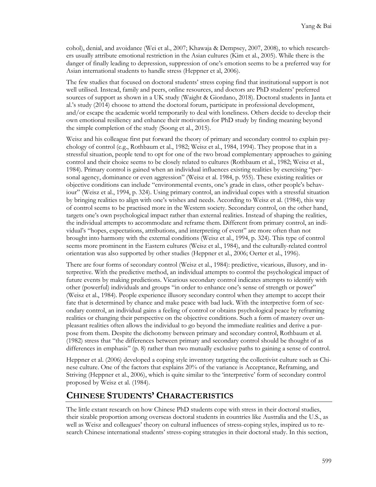cohol), denial, and avoidance (Wei et al., 2007; Khawaja & Dempsey, 2007, 2008), to which researchers usually attribute emotional restriction in the Asian cultures (Kim et al., 2005). While there is the danger of finally leading to depression, suppression of one's emotion seems to be a preferred way for Asian international students to handle stress (Heppner et al, 2006).

The few studies that focused on doctoral students' stress coping find that institutional support is not well utilised. Instead, family and peers, online resources, and doctors are PhD students' preferred sources of support as shown in a UK study (Waight & Giordano, 2018). Doctoral students in Janta et al.'s study (2014) choose to attend the doctoral forum, participate in professional development, and/or escape the academic world temporarily to deal with loneliness. Others decide to develop their own emotional resiliency and enhance their motivation for PhD study by finding meaning beyond the simple completion of the study (Soong et al., 2015).

Weisz and his colleague first put forward the theory of primary and secondary control to explain psychology of control (e.g., Rothbaum et al., 1982; Weisz et al., 1984, 1994). They propose that in a stressful situation, people tend to opt for one of the two broad complementary approaches to gaining control and their choice seems to be closely related to cultures (Rothbaum et al., 1982; Weisz et al., 1984). Primary control is gained when an individual influences existing realities by exercising "personal agency, dominance or even aggression" (Weisz et al. 1984, p. 955). These existing realities or objective conditions can include "environmental events, one's grade in class, other people's behaviour" (Weisz et al., 1994, p. 324). Using primary control, an individual copes with a stressful situation by bringing realities to align with one's wishes and needs. According to Weisz et al. (1984), this way of control seems to be practised more in the Western society. Secondary control, on the other hand, targets one's own psychological impact rather than external realities. Instead of shaping the realities, the individual attempts to accommodate and reframe them. Different from primary control, an individual's "hopes, expectations, attributions, and interpreting of event" are more often than not brought into harmony with the external conditions (Weisz et al., 1994, p. 324). This type of control seems more prominent in the Eastern cultures (Weisz et al., 1984), and the culturally-related control orientation was also supported by other studies (Heppner et al., 2006; Oerter et al., 1996).

There are four forms of secondary control (Weisz et al., 1984): predictive, vicarious, illusory, and interpretive. With the predictive method, an individual attempts to control the psychological impact of future events by making predictions. Vicarious secondary control indicates attempts to identify with other (powerful) individuals and groups "in order to enhance one's sense of strength or power" (Weisz et al., 1984). People experience illusory secondary control when they attempt to accept their fate that is determined by chance and make peace with bad luck. With the interpretive form of secondary control, an individual gains a feeling of control or obtains psychological peace by reframing realities or changing their perspective on the objective conditions. Such a form of mastery over unpleasant realities often allows the individual to go beyond the immediate realities and derive a purpose from them. Despite the dichotomy between primary and secondary control, Rothbaum et al. (1982) stress that "the differences between primary and secondary control should be thought of as differences in emphasis" (p. 8) rather than two mutually exclusive paths to gaining a sense of control.

Heppner et al. (2006) developed a coping style inventory targeting the collectivist culture such as Chinese culture. One of the factors that explains 20% of the variance is Acceptance, Reframing, and Striving (Heppner et al., 2006), which is quite similar to the 'interpretive' form of secondary control proposed by Weisz et al. (1984).

### **CHINESE STUDENTS' CHARACTERISTICS**

The little extant research on how Chinese PhD students cope with stress in their doctoral studies, their sizable proportion among overseas doctoral students in countries like Australia and the U.S., as well as Weisz and colleagues' theory on cultural influences of stress-coping styles, inspired us to research Chinese international students' stress-coping strategies in their doctoral study. In this section,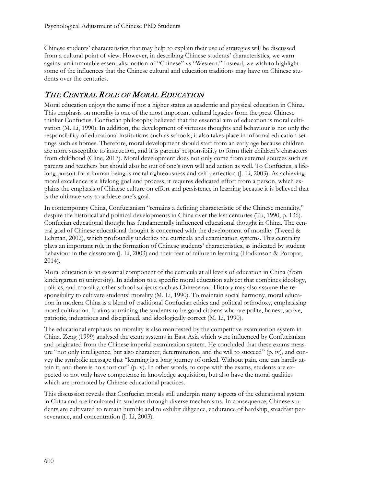Chinese students' characteristics that may help to explain their use of strategies will be discussed from a cultural point of view. However, in describing Chinese students' characteristics, we warn against an immutable essentialist notion of "Chinese" vs "Western." Instead, we wish to highlight some of the influences that the Chinese cultural and education traditions may have on Chinese students over the centuries.

## THE CENTRAL ROLE OF MORAL EDUCATION

Moral education enjoys the same if not a higher status as academic and physical education in China. This emphasis on morality is one of the most important cultural legacies from the great Chinese thinker Confucius. Confucian philosophy believed that the essential aim of education is moral cultivation (M. Li, 1990). In addition, the development of virtuous thoughts and behaviour is not only the responsibility of educational institutions such as schools, it also takes place in informal education settings such as homes. Therefore, moral development should start from an early age because children are more susceptible to instruction, and it is parents' responsibility to form their children's characters from childhood (Cline, 2017). Moral development does not only come from external sources such as parents and teachers but should also be out of one's own will and action as well. To Confucius, a lifelong pursuit for a human being is moral righteousness and self-perfection (J. Li, 2003). As achieving moral excellence is a lifelong goal and process, it requires dedicated effort from a person, which explains the emphasis of Chinese culture on effort and persistence in learning because it is believed that is the ultimate way to achieve one's goal.

In contemporary China, Confucianism "remains a defining characteristic of the Chinese mentality," despite the historical and political developments in China over the last centuries (Tu, 1990, p. 136). Confucian educational thought has fundamentally influenced educational thought in China. The central goal of Chinese educational thought is concerned with the development of morality (Tweed & Lehman, 2002), which profoundly underlies the curricula and examination systems. This centrality plays an important role in the formation of Chinese students' characteristics, as indicated by student behaviour in the classroom (J. Li, 2003) and their fear of failure in learning (Hodkinson & Poropat, 2014).

Moral education is an essential component of the curricula at all levels of education in China (from kindergarten to university). In addition to a specific moral education subject that combines ideology, politics, and morality, other school subjects such as Chinese and History may also assume the responsibility to cultivate students' morality (M. Li, 1990). To maintain social harmony, moral education in modern China is a blend of traditional Confucian ethics and political orthodoxy, emphasising moral cultivation. It aims at training the students to be good citizens who are polite, honest, active, patriotic, industrious and disciplined, and ideologically correct (M. Li, 1990).

The educational emphasis on morality is also manifested by the competitive examination system in China. Zeng (1999) analysed the exam systems in East Asia which were influenced by Confucianism and originated from the Chinese imperial examination system. He concluded that these exams measure "not only intelligence, but also character, determination, and the will to succeed" (p. iv), and convey the symbolic message that "learning is a long journey of ordeal. Without pain, one can hardly attain it, and there is no short cut" (p. v). In other words, to cope with the exams, students are expected to not only have competence in knowledge acquisition, but also have the moral qualities which are promoted by Chinese educational practices.

This discussion reveals that Confucian morals still underpin many aspects of the educational system in China and are inculcated in students through diverse mechanisms. In consequence, Chinese students are cultivated to remain humble and to exhibit diligence, endurance of hardship, steadfast perseverance, and concentration (J. Li, 2003).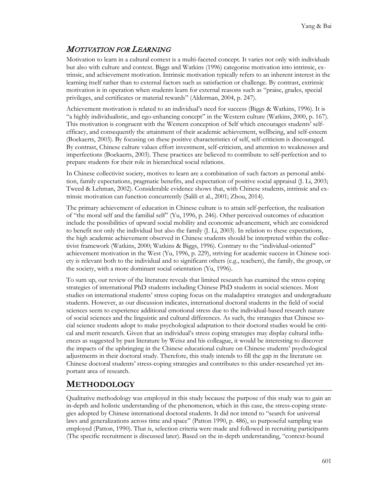## MOTIVATION FOR LEARNING

Motivation to learn in a cultural context is a multi-faceted concept. It varies not only with individuals but also with culture and context. Biggs and Watkins (1996) categorise motivation into intrinsic, extrinsic, and achievement motivation. Intrinsic motivation typically refers to an inherent interest in the learning itself rather than to external factors such as satisfaction or challenge. By contrast, extrinsic motivation is in operation when students learn for external reasons such as "praise, grades, special privileges, and certificates or material rewards" (Alderman, 2004, p. 247).

Achievement motivation is related to an individual's need for success (Biggs & Watkins, 1996). It is "a highly individualistic, and ego-enhancing concept" in the Western culture (Watkins, 2000, p. 167). This motivation is congruent with the Western conception of Self which encourages students' selfefficacy, and consequently the attainment of their academic achievement, wellbeing, and self-esteem (Boekaerts, 2003). By focusing on these positive characteristics of self, self-criticism is discouraged. By contrast, Chinese culture values effort investment, self-criticism, and attention to weaknesses and imperfections (Boekaerts, 2003). These practices are believed to contribute to self-perfection and to prepare students for their role in hierarchical social relations.

In Chinese collectivist society, motives to learn are a combination of such factors as personal ambition, family expectations, pragmatic benefits, and expectation of positive social appraisal (J. Li, 2003; Tweed & Lehman, 2002). Considerable evidence shows that, with Chinese students, intrinsic and extrinsic motivation can function concurrently (Salili et al., 2001; Zhou, 2014).

The primary achievement of education in Chinese culture is to attain self-perfection, the realisation of "the moral self and the familial self" (Yu, 1996, p. 246). Other perceived outcomes of education include the possibilities of upward social mobility and economic advancement, which are considered to benefit not only the individual but also the family (J. Li, 2003). In relation to these expectations, the high academic achievement observed in Chinese students should be interpreted within the collectivist framework (Watkins, 2000; Watkins & Biggs, 1996). Contrary to the "individual-oriented" achievement motivation in the West (Yu, 1996, p. 229), striving for academic success in Chinese society is relevant both to the individual and to significant others (e.g., teachers), the family, the group, or the society, with a more dominant social orientation (Yu, 1996).

To sum up, our review of the literature reveals that limited research has examined the stress coping strategies of international PhD students including Chinese PhD students in social sciences. Most studies on international students' stress coping focus on the maladaptive strategies and undergraduate students. However, as our discussion indicates, international doctoral students in the field of social sciences seem to experience additional emotional stress due to the individual-based research nature of social sciences and the linguistic and cultural differences. As such, the strategies that Chinese social science students adopt to make psychological adaptation to their doctoral studies would be critical and merit research. Given that an individual's stress coping strategies may display cultural influences as suggested by past literature by Weisz and his colleague, it would be interesting to discover the impacts of the upbringing in the Chinese educational culture on Chinese students' psychological adjustments in their doctoral study. Therefore, this study intends to fill the gap in the literature on Chinese doctoral students' stress-coping strategies and contributes to this under-researched yet important area of research.

## **METHODOLOGY**

Qualitative methodology was employed in this study because the purpose of this study was to gain an in-depth and holistic understanding of the phenomenon, which in this case, the stress-coping strategies adopted by Chinese international doctoral students. It did not intend to "search for universal laws and generalizations across time and space" (Patton 1990, p. 486), so purposeful sampling was employed (Patton, 1990). That is, selection criteria were made and followed in recruiting participants (The specific recruitment is discussed later). Based on the in-depth understanding, "context-bound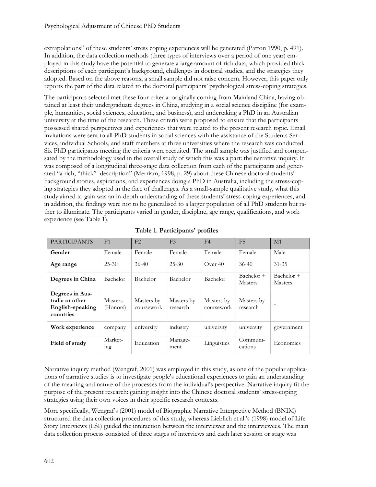extrapolations" of these students' stress coping experiences will be generated (Patton 1990, p. 491). In addition, the data collection methods (three types of interviews over a period of one year) employed in this study have the potential to generate a large amount of rich data, which provided thick descriptions of each participant's background, challenges in doctoral studies, and the strategies they adopted. Based on the above reasons, a small sample did not raise concern. However, this paper only reports the part of the data related to the doctoral participants' psychological stress-coping strategies.

The participants selected met these four criteria: originally coming from Mainland China, having obtained at least their undergraduate degrees in China, studying in a social science discipline (for example, humanities, social sciences, education, and business), and undertaking a PhD in an Australian university at the time of the research. These criteria were proposed to ensure that the participants possessed shared perspectives and experiences that were related to the present research topic. Email invitations were sent to all PhD students in social sciences with the assistance of the Students Services, individual Schools, and staff members at three universities where the research was conducted. Six PhD participants meeting the criteria were recruited. The small sample was justified and compensated by the methodology used in the overall study of which this was a part: the narrative inquiry. It was composed of a longitudinal three-stage data collection from each of the participants and generated "a rich, "thick" description" (Merriam, 1998, p. 29) about these Chinese doctoral students' background stories, aspirations, and experiences doing a PhD in Australia, including the stress-coping strategies they adopted in the face of challenges. As a small-sample qualitative study, what this study aimed to gain was an in-depth understanding of these students' stress-coping experiences, and in addition, the findings were not to be generalised to a larger population of all PhD students but rather to illuminate. The participants varied in gender, discipline, age range, qualifications, and work experience (see Table 1).

| <b>PARTICIPANTS</b>                                                 | F1                         | F <sub>2</sub>           | F <sub>3</sub>         | F <sub>4</sub>           | F <sub>5</sub>               | M1                           |
|---------------------------------------------------------------------|----------------------------|--------------------------|------------------------|--------------------------|------------------------------|------------------------------|
| Gender                                                              | Female                     | Female                   | Female                 | Female                   | <b>Female</b>                | Male                         |
| Age range                                                           | $25 - 30$                  | $36 - 40$                | $25 - 30$              | Over $40$                | $36 - 40$                    | $31 - 35$                    |
| Degrees in China                                                    | Bachelor                   | Bachelor                 | <b>Bachelor</b>        | Bachelor                 | Bachelor +<br><b>Masters</b> | Bachelor +<br><b>Masters</b> |
| Degrees in Aus-<br>tralia or other<br>English-speaking<br>countries | <b>Masters</b><br>(Honors) | Masters by<br>coursework | Masters by<br>research | Masters by<br>coursework | Masters by<br>research       | $\overline{\phantom{a}}$     |
| Work experience                                                     | company                    | university               | industry               | university               | university                   | government                   |
| Field of study                                                      | Market-<br><sub>1</sub> ng | Education                | Manage-<br>ment        | Linguistics              | Communi-<br>cations          | Economics                    |

|  |  | Table 1. Participants' profiles |  |
|--|--|---------------------------------|--|
|--|--|---------------------------------|--|

Narrative inquiry method (Wengraf, 2001) was employed in this study, as one of the popular applications of narrative studies is to investigate people's educational experiences to gain an understanding of the meaning and nature of the processes from the individual's perspective. Narrative inquiry fit the purpose of the present research: gaining insight into the Chinese doctoral students' stress-coping strategies using their own voices in their specific research contexts.

More specifically, Wengraf's (2001) model of Biographic Narrative Interpretive Method (BNIM) structured the data collection procedures of this study, whereas Lieblich et al.'s (1998) model of Life Story Interviews (LSI) guided the interaction between the interviewer and the interviewees. The main data collection process consisted of three stages of interviews and each later session or stage was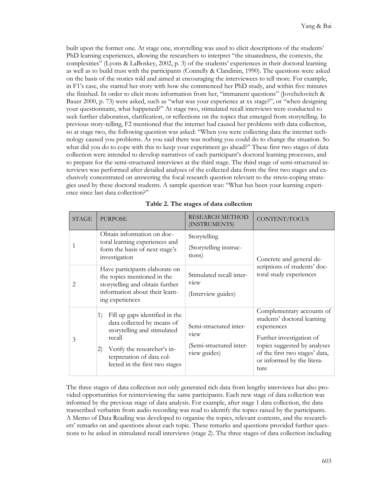built upon the former one. At stage one, storytelling was used to elicit descriptions of the students' PhD learning experiences, allowing the researchers to interpret "the situatedness, the contexts, the complexities" (Lyons & LaBoskey, 2002, p. 3) of the students' experiences in their doctoral learning as well as to build trust with the participants (Connelly & Clandinin, 1990). The questions were asked on the basis of the stories told and aimed at encouraging the interviewees to tell more. For example, in F1's case, she started her story with how she commenced her PhD study, and within five minutes she finished. In order to elicit more information from her, "immanent questions" (Jovchelovitch & Bauer 2000, p. 73) were asked, such as "what was your experience at xx stage?", or "when designing your questionnaire, what happened?" At stage two, stimulated recall interviews were conducted to seek further elaboration, clarification, or reflections on the topics that emerged from storytelling. In previous story-telling, F2 mentioned that the internet had caused her problems with data collection, so at stage two, the following question was asked: "When you were collecting data the internet technology caused you problems. As you said there was nothing you could do to change the situation. So what did you do to cope with this to keep your experiment go ahead?" These first two stages of data collection were intended to develop narratives of each participant's doctoral learning processes, and to prepare for the semi-structured interviews at the third stage. The third stage of semi-structured interviews was performed after detailed analyses of the collected data from the first two stages and exclusively concentrated on answering the focal research question relevant to the stress-coping strategies used by these doctoral students. A sample question was: "What has been your learning experience since last data collection?"

| <b>STAGE</b> | <b>PURPOSE</b>                                                                                                                                                                                                   | RESEARCH METHOD<br>(INSTRUMENTS)                                                      | CONTENT/FOCUS                                                                                                                                                                                               |  |
|--------------|------------------------------------------------------------------------------------------------------------------------------------------------------------------------------------------------------------------|---------------------------------------------------------------------------------------|-------------------------------------------------------------------------------------------------------------------------------------------------------------------------------------------------------------|--|
| 1            | Obtain information on doc-<br>toral learning experiences and<br>form the basis of next stage's<br>investigation                                                                                                  | Storytelling<br>(Storytelling instruc-<br>tions)                                      | Concrete and general de-<br>scriptions of students' doc-<br>toral study experiences                                                                                                                         |  |
| 2            | Have participants elaborate on<br>the topics mentioned in the<br>storytelling and obtain further<br>information about their learn-<br>ing experiences                                                            | Stimulated recall inter-<br>v <sub>tew</sub><br>(Interview guides)                    |                                                                                                                                                                                                             |  |
| 3            | Fill up gaps identified in the<br>1)<br>data collected by means of<br>storytelling and stimulated<br>recall<br>Verify the researcher's in-<br>(2)<br>terpretation of data col-<br>lected in the first two stages | Semi-structured inter-<br>v <sub>tew</sub><br>(Semi-structured inter-<br>view guides) | Complementary accounts of<br>students' doctoral learning<br>experiences<br>Further investigation of<br>topics suggested by analyses<br>of the first two stages' data,<br>or informed by the litera-<br>ture |  |

**Table 2. The stages of data collection**

The three stages of data collection not only generated rich data from lengthy interviews but also provided opportunities for reinterviewing the same participants. Each new stage of data collection was informed by the previous stage of data analysis. For example, after stage 1 data collection, the data transcribed verbatim from audio recording was read to identify the topics raised by the participants. A Memo of Data Reading was developed to organise the topics, relevant contents, and the researchers' remarks on and questions about each topic. These remarks and questions provided further questions to be asked in stimulated recall interviews (stage 2). The three stages of data collection including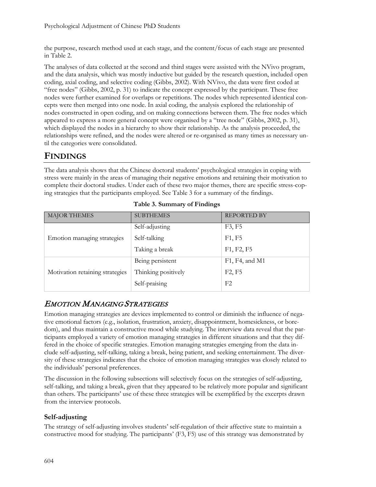the purpose, research method used at each stage, and the content/focus of each stage are presented in Table 2.

The analyses of data collected at the second and third stages were assisted with the NVivo program, and the data analysis, which was mostly inductive but guided by the research question, included open coding, axial coding, and selective coding (Gibbs, 2002). With NVivo, the data were first coded at "free nodes" (Gibbs, 2002, p. 31) to indicate the concept expressed by the participant. These free nodes were further examined for overlaps or repetitions. The nodes which represented identical concepts were then merged into one node. In axial coding, the analysis explored the relationship of nodes constructed in open coding, and on making connections between them. The free nodes which appeared to express a more general concept were organised by a "tree node" (Gibbs, 2002, p. 31), which displayed the nodes in a hierarchy to show their relationship. As the analysis proceeded, the relationships were refined, and the nodes were altered or re-organised as many times as necessary until the categories were consolidated.

### **FINDINGS**

The data analysis shows that the Chinese doctoral students' psychological strategies in coping with stress were mainly in the areas of managing their negative emotions and retaining their motivation to complete their doctoral studies. Under each of these two major themes, there are specific stress-coping strategies that the participants employed. See Table 3 for a summary of the findings.

| <b>MAJOR THEMES</b>             | <b>SUBTHEMES</b>    | <b>REPORTED BY</b>              |
|---------------------------------|---------------------|---------------------------------|
|                                 | Self-adjusting      | F3, F5                          |
| Emotion managing strategies     | Self-talking        | F1, F5                          |
|                                 | Taking a break      | F1, F2, F5                      |
|                                 | Being persistent    | F1, F4, and M1                  |
| Motivation retaining strategies | Thinking positively | F <sub>2</sub> , F <sub>5</sub> |
|                                 | Self-praising       | F2                              |

**Table 3. Summary of Findings**

## EMOTION MANAGING STRATEGIES

Emotion managing strategies are devices implemented to control or diminish the influence of negative emotional factors (e.g., isolation, frustration, anxiety, disappointment, homesickness, or boredom), and thus maintain a constructive mood while studying. The interview data reveal that the participants employed a variety of emotion managing strategies in different situations and that they differed in the choice of specific strategies. Emotion managing strategies emerging from the data include self-adjusting, self-talking, taking a break, being patient, and seeking entertainment. The diversity of these strategies indicates that the choice of emotion managing strategies was closely related to the individuals' personal preferences.

The discussion in the following subsections will selectively focus on the strategies of self-adjusting, self-talking, and taking a break, given that they appeared to be relatively more popular and significant than others. The participants' use of these three strategies will be exemplified by the excerpts drawn from the interview protocols.

#### **Self-adjusting**

The strategy of self-adjusting involves students' self-regulation of their affective state to maintain a constructive mood for studying. The participants' (F3, F5) use of this strategy was demonstrated by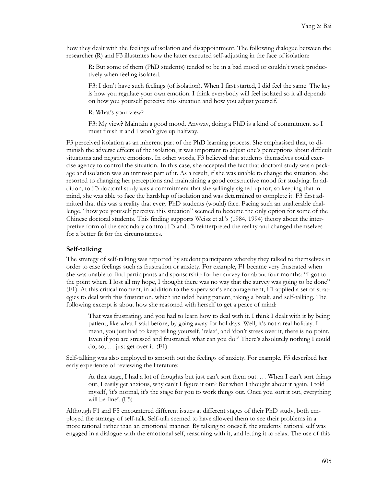how they dealt with the feelings of isolation and disappointment. The following dialogue between the researcher (R) and F3 illustrates how the latter executed self-adjusting in the face of isolation:

R: But some of them (PhD students) tended to be in a bad mood or couldn't work productively when feeling isolated.

F3: I don't have such feelings (of isolation). When I first started, I did feel the same. The key is how you regulate your own emotion. I think everybody will feel isolated so it all depends on how you yourself perceive this situation and how you adjust yourself.

R: What's your view?

F3: My view? Maintain a good mood. Anyway, doing a PhD is a kind of commitment so I must finish it and I won't give up halfway.

F3 perceived isolation as an inherent part of the PhD learning process. She emphasised that, to diminish the adverse effects of the isolation, it was important to adjust one's perceptions about difficult situations and negative emotions. In other words, F3 believed that students themselves could exercise agency to control the situation. In this case, she accepted the fact that doctoral study was a package and isolation was an intrinsic part of it. As a result, if she was unable to change the situation, she resorted to changing her perceptions and maintaining a good constructive mood for studying. In addition, to F3 doctoral study was a commitment that she willingly signed up for, so keeping that in mind, she was able to face the hardship of isolation and was determined to complete it. F3 first admitted that this was a reality that every PhD students (would) face. Facing such an unalterable challenge, "how you yourself perceive this situation" seemed to become the only option for some of the Chinese doctoral students. This finding supports Weisz et al.'s (1984, 1994) theory about the interpretive form of the secondary control: F3 and F5 reinterpreted the reality and changed themselves for a better fit for the circumstances.

#### **Self-talking**

The strategy of self-talking was reported by student participants whereby they talked to themselves in order to ease feelings such as frustration or anxiety. For example, F1 became very frustrated when she was unable to find participants and sponsorship for her survey for about four months: "I got to the point where I lost all my hope, I thought there was no way that the survey was going to be done" (F1). At this critical moment, in addition to the supervisor's encouragement, F1 applied a set of strategies to deal with this frustration, which included being patient, taking a break, and self-talking. The following excerpt is about how she reasoned with herself to get a peace of mind:

That was frustrating, and you had to learn how to deal with it. I think I dealt with it by being patient, like what I said before, by going away for holidays. Well, it's not a real holiday. I mean, you just had to keep telling yourself, 'relax', and 'don't stress over it, there is no point. Even if you are stressed and frustrated, what can you do?' There's absolutely nothing I could do, so, … just get over it*.* (F1)

Self-talking was also employed to smooth out the feelings of anxiety. For example, F5 described her early experience of reviewing the literature:

At that stage, I had a lot of thoughts but just can't sort them out. … When I can't sort things out, I easily get anxious, why can't I figure it out? But when I thought about it again, I told myself, 'it's normal, it's the stage for you to work things out. Once you sort it out, everything will be fine'*.* (F5)

Although F1 and F5 encountered different issues at different stages of their PhD study, both employed the strategy of self-talk. Self-talk seemed to have allowed them to see their problems in a more rational rather than an emotional manner. By talking to oneself, the students' rational self was engaged in a dialogue with the emotional self, reasoning with it, and letting it to relax. The use of this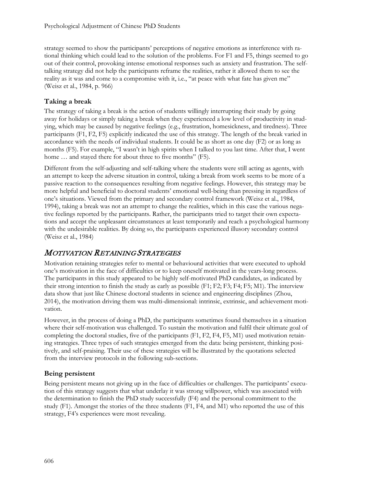strategy seemed to show the participants' perceptions of negative emotions as interference with rational thinking which could lead to the solution of the problems. For F1 and F5, things seemed to go out of their control, provoking intense emotional responses such as anxiety and frustration. The selftalking strategy did not help the participants reframe the realities, rather it allowed them to see the reality as it was and come to a compromise with it, i.e., "at peace with what fate has given me" (Weisz et al., 1984, p. 966)

#### **Taking a break**

The strategy of taking a break is the action of students willingly interrupting their study by going away for holidays or simply taking a break when they experienced a low level of productivity in studying, which may be caused by negative feelings (e.g., frustration, homesickness, and tiredness). Three participants (F1, F2, F5) explicitly indicated the use of this strategy. The length of the break varied in accordance with the needs of individual students. It could be as short as one day (F2) or as long as months (F5). For example, "I wasn't in high spirits when I talked to you last time. After that, I went home ... and stayed there for about three to five months" (F5).

Different from the self-adjusting and self-talking where the students were still acting as agents, with an attempt to keep the adverse situation in control, taking a break from work seems to be more of a passive reaction to the consequences resulting from negative feelings. However, this strategy may be more helpful and beneficial to doctoral students' emotional well-being than pressing in regardless of one's situations. Viewed from the primary and secondary control framework (Weisz et al., 1984, 1994), taking a break was not an attempt to change the realities, which in this case the various negative feelings reported by the participants. Rather, the participants tried to target their own expectations and accept the unpleasant circumstances at least temporarily and reach a psychological harmony with the undesirable realities. By doing so, the participants experienced illusory secondary control (Weisz et al., 1984)

### MOTIVATION RETAINING STRATEGIES

Motivation retaining strategies refer to mental or behavioural activities that were executed to uphold one's motivation in the face of difficulties or to keep oneself motivated in the years-long process. The participants in this study appeared to be highly self-motivated PhD candidates, as indicated by their strong intention to finish the study as early as possible (F1; F2; F3; F4; F5; M1). The interview data show that just like Chinese doctoral students in science and engineering disciplines (Zhou, 2014), the motivation driving them was multi-dimensional: intrinsic, extrinsic, and achievement motivation.

However, in the process of doing a PhD, the participants sometimes found themselves in a situation where their self-motivation was challenged. To sustain the motivation and fulfil their ultimate goal of completing the doctoral studies, five of the participants (F1, F2, F4, F5, M1) used motivation retaining strategies. Three types of such strategies emerged from the data: being persistent, thinking positively, and self-praising. Their use of these strategies will be illustrated by the quotations selected from the interview protocols in the following sub-sections.

#### **Being persistent**

Being persistent means not giving up in the face of difficulties or challenges. The participants' execution of this strategy suggests that what underlay it was strong willpower, which was associated with the determination to finish the PhD study successfully (F4) and the personal commitment to the study (F1). Amongst the stories of the three students (F1, F4, and M1) who reported the use of this strategy, F4's experiences were most revealing.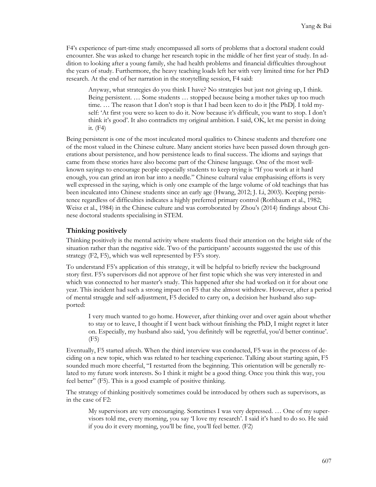F4's experience of part-time study encompassed all sorts of problems that a doctoral student could encounter. She was asked to change her research topic in the middle of her first year of study. In addition to looking after a young family, she had health problems and financial difficulties throughout the years of study. Furthermore, the heavy teaching loads left her with very limited time for her PhD research. At the end of her narration in the storytelling session, F4 said:

Anyway, what strategies do you think I have? No strategies but just not giving up, I think. Being persistent. … Some students … stopped because being a mother takes up too much time. … The reason that I don't stop is that I had been keen to do it [the PhD]. I told myself: 'At first you were so keen to do it. Now because it's difficult, you want to stop. I don't think it's good'. It also contradicts my original ambition. I said, OK, let me persist in doing it*.* (F4)

Being persistent is one of the most inculcated moral qualities to Chinese students and therefore one of the most valued in the Chinese culture. Many ancient stories have been passed down through generations about persistence, and how persistence leads to final success. The idioms and sayings that came from these stories have also become part of the Chinese language. One of the most wellknown sayings to encourage people especially students to keep trying is "If you work at it hard enough, you can grind an iron bar into a needle*.*" Chinese cultural value emphasising efforts is very well expressed in the saying, which is only one example of the large volume of old teachings that has been inculcated into Chinese students since an early age (Hwang, 2012; J. Li, 2003). Keeping persistence regardless of difficulties indicates a highly preferred primary control (Rothbaum et al., 1982; Weisz et al., 1984) in the Chinese culture and was corroborated by Zhou's (2014) findings about Chinese doctoral students specialising in STEM.

#### **Thinking positively**

Thinking positively is the mental activity where students fixed their attention on the bright side of the situation rather than the negative side. Two of the participants' accounts suggested the use of this strategy (F2, F5), which was well represented by F5's story.

To understand F5's application of this strategy, it will be helpful to briefly review the background story first. F5's supervisors did not approve of her first topic which she was very interested in and which was connected to her master's study. This happened after she had worked on it for about one year. This incident had such a strong impact on F5 that she almost withdrew. However, after a period of mental struggle and self-adjustment, F5 decided to carry on, a decision her husband also supported:

I very much wanted to go home. However, after thinking over and over again about whether to stay or to leave, I thought if I went back without finishing the PhD, I might regret it later on. Especially, my husband also said, 'you definitely will be regretful, you'd better continue'. (F5)

Eventually, F5 started afresh. When the third interview was conducted, F5 was in the process of deciding on a new topic, which was related to her teaching experience. Talking about starting again, F5 sounded much more cheerful, "I restarted from the beginning. This orientation will be generally related to my future work interests. So I think it might be a good thing. Once you think this way, you feel better" (F5). This is a good example of positive thinking.

The strategy of thinking positively sometimes could be introduced by others such as supervisors, as in the case of F2:

My supervisors are very encouraging. Sometimes I was very depressed. … One of my supervisors told me, every morning, you say 'I love my research'. I said it's hard to do so. He said if you do it every morning, you'll be fine, you'll feel better*.* (F2)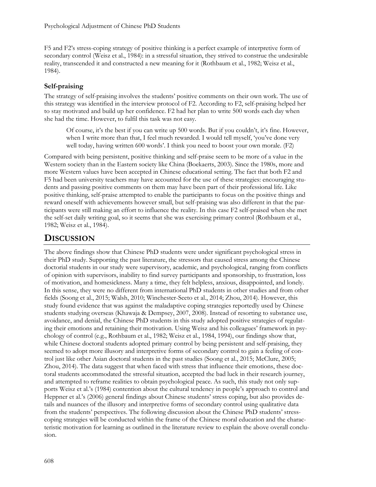F5 and F2's stress-coping strategy of positive thinking is a perfect example of interpretive form of secondary control (Weisz et al., 1984): in a stressful situation, they strived to construe the undesirable reality, transcended it and constructed a new meaning for it (Rothbaum et al., 1982; Weisz et al., 1984).

#### **Self-praising**

The strategy of self-praising involves the students' positive comments on their own work. The use of this strategy was identified in the interview protocol of F2. According to F2, self-praising helped her to stay motivated and build up her confidence. F2 had her plan to write 500 words each day when she had the time. However, to fulfil this task was not easy.

Of course, it's the best if you can write up 500 words. But if you couldn't, it's fine. However, when I write more than that, I feel much rewarded. I would tell myself, 'you've done very well today, having written 600 words'. I think you need to boost your own morale. (F2)

Compared with being persistent, positive thinking and self-praise seem to be more of a value in the Western society than in the Eastern society like China (Boekaerts, 2003). Since the 1980s, more and more Western values have been accepted in Chinese educational setting. The fact that both F2 and F5 had been university teachers may have accounted for the use of these strategies: encouraging students and passing positive comments on them may have been part of their professional life. Like positive thinking, self-praise attempted to enable the participants to focus on the positive things and reward oneself with achievements however small, but self-praising was also different in that the participants were still making an effort to influence the reality. In this case F2 self-praised when she met the self-set daily writing goal, so it seems that she was exercising primary control (Rothbaum et al., 1982; Weisz et al., 1984).

## **DISCUSSION**

The above findings show that Chinese PhD students were under significant psychological stress in their PhD study. Supporting the past literature, the stressors that caused stress among the Chinese doctorial students in our study were supervisory, academic, and psychological, ranging from conflicts of opinion with supervisors, inability to find survey participants and sponsorship, to frustration, loss of motivation, and homesickness. Many a time, they felt helpless, anxious, disappointed, and lonely. In this sense, they were no different from international PhD students in other studies and from other fields (Soong et al., 2015; Walsh, 2010; Winchester-Seeto et al., 2014; Zhou, 2014). However, this study found evidence that was against the maladaptive coping strategies reportedly used by Chinese students studying overseas (Khawaja & Dempsey, 2007, 2008). Instead of resorting to substance use, avoidance, and denial, the Chinese PhD students in this study adopted positive strategies of regulating their emotions and retaining their motivation. Using Weisz and his colleagues' framework in psychology of control (e.g., Rothbaum et al., 1982; Weisz et al., 1984, 1994), our findings show that, while Chinese doctoral students adopted primary control by being persistent and self-praising, they seemed to adopt more illusory and interpretive forms of secondary control to gain a feeling of control just like other Asian doctoral students in the past studies (Soong et al., 2015; McClure, 2005; Zhou, 2014). The data suggest that when faced with stress that influence their emotions, these doctoral students accommodated the stressful situation, accepted the bad luck in their research journey, and attempted to reframe realities to obtain psychological peace. As such, this study not only supports Weisz et al.'s (1984) contention about the cultural tendency in people's approach to control and Heppner et al.'s (2006) general findings about Chinese students' stress coping, but also provides details and nuances of the illusory and interpretive forms of secondary control using qualitative data from the students' perspectives. The following discussion about the Chinese PhD students' stresscoping strategies will be conducted within the frame of the Chinese moral education and the characteristic motivation for learning as outlined in the literature review to explain the above overall conclusion.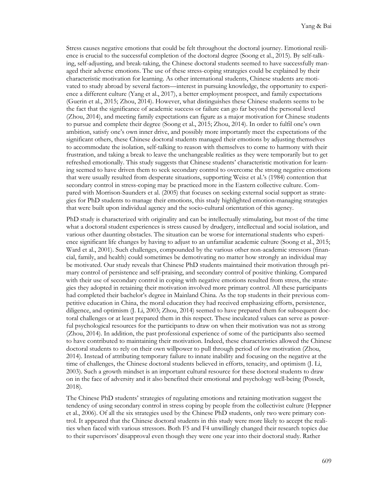Stress causes negative emotions that could be felt throughout the doctoral journey. Emotional resilience is crucial to the successful completion of the doctoral degree (Soong et al., 2015). By self-talking, self-adjusting, and break-taking, the Chinese doctoral students seemed to have successfully managed their adverse emotions. The use of these stress-coping strategies could be explained by their characteristic motivation for learning. As other international students, Chinese students are motivated to study abroad by several factors—interest in pursuing knowledge, the opportunity to experience a different culture (Yang et al., 2017), a better employment prospect, and family expectations (Guerin et al., 2015; Zhou, 2014). However, what distinguishes these Chinese students seems to be the fact that the significance of academic success or failure can go far beyond the personal level (Zhou, 2014), and meeting family expectations can figure as a major motivation for Chinese students to pursue and complete their degree (Soong et al., 2015; Zhou, 2014). In order to fulfil one's own ambition, satisfy one's own inner drive, and possibly more importantly meet the expectations of the significant others, these Chinese doctoral students managed their emotions by adjusting themselves to accommodate the isolation, self-talking to reason with themselves to come to harmony with their frustration, and taking a break to leave the unchangeable realities as they were temporarily but to get refreshed emotionally. This study suggests that Chinese students' characteristic motivation for learning seemed to have driven them to seek secondary control to overcome the strong negative emotions that were usually resulted from desperate situations, supporting Weisz et al.'s (1984) contention that secondary control in stress-coping may be practiced more in the Eastern collective culture. Compared with Morrison-Saunders et al. (2005) that focuses on seeking external social support as strategies for PhD students to manage their emotions, this study highlighted emotion-managing strategies that were built upon individual agency and the socio-cultural orientation of this agency.

PhD study is characterized with originality and can be intellectually stimulating, but most of the time what a doctoral student experiences is stress caused by drudgery, intellectual and social isolation, and various other daunting obstacles. The situation can be worse for international students who experience significant life changes by having to adjust to an unfamiliar academic culture (Soong et al., 2015; Ward et al., 2001). Such challenges, compounded by the various other non-academic stressors (financial, family, and health) could sometimes be demotivating no matter how strongly an individual may be motivated. Our study reveals that Chinese PhD students maintained their motivation through primary control of persistence and self-praising, and secondary control of positive thinking. Compared with their use of secondary control in coping with negative emotions resulted from stress, the strategies they adopted in retaining their motivation involved more primary control. All these participants had completed their bachelor's degree in Mainland China. As the top students in their previous competitive education in China, the moral education they had received emphasizing efforts, persistence, diligence, and optimism (J. Li, 2003; Zhou, 2014) seemed to have prepared them for subsequent doctoral challenges or at least prepared them in this respect. These inculcated values can serve as powerful psychological resources for the participants to draw on when their motivation was not as strong (Zhou, 2014). In addition, the past professional experience of some of the participants also seemed to have contributed to maintaining their motivation. Indeed, these characteristics allowed the Chinese doctoral students to rely on their own willpower to pull through period of low motivation (Zhou, 2014). Instead of attributing temporary failure to innate inability and focusing on the negative at the time of challenges, the Chinese doctoral students believed in efforts, tenacity, and optimism (J. Li, 2003). Such a growth mindset is an important cultural resource for these doctoral students to draw on in the face of adversity and it also benefited their emotional and psychology well-being (Posselt, 2018).

The Chinese PhD students' strategies of regulating emotions and retaining motivation suggest the tendency of using secondary control in stress coping by people from the collectivist culture (Heppner et al., 2006). Of all the six strategies used by the Chinese PhD students, only two were primary control. It appeared that the Chinese doctoral students in this study were more likely to accept the realities when faced with various stressors. Both F5 and F4 unwillingly changed their research topics due to their supervisors' disapproval even though they were one year into their doctoral study. Rather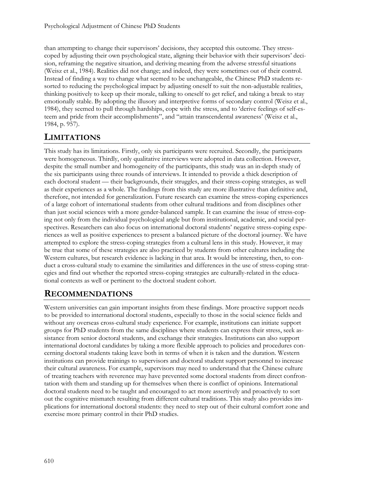than attempting to change their supervisors' decisions, they accepted this outcome. They stresscoped by adjusting their own psychological state, aligning their behavior with their supervisors' decision, reframing the negative situation, and deriving meaning from the adverse stressful situations (Weisz et al., 1984). Realities did not change; and indeed, they were sometimes out of their control. Instead of finding a way to change what seemed to be unchangeable, the Chinese PhD students resorted to reducing the psychological impact by adjusting oneself to suit the non-adjustable realities, thinking positively to keep up their morale, talking to oneself to get relief, and taking a break to stay emotionally stable. By adopting the illusory and interpretive forms of secondary control (Weisz et al., 1984), they seemed to pull through hardships, cope with the stress, and to 'derive feelings of self-esteem and pride from their accomplishments", and "attain transcendental awareness' (Weisz et al., 1984, p. 957).

## **LIMITATIONS**

This study has its limitations. Firstly, only six participants were recruited. Secondly, the participants were homogeneous. Thirdly, only qualitative interviews were adopted in data collection. However, despite the small number and homogeneity of the participants, this study was an in-depth study of the six participants using three rounds of interviews. It intended to provide a thick description of each doctoral student — their backgrounds, their struggles, and their stress-coping strategies, as well as their experiences as a whole. The findings from this study are more illustrative than definitive and, therefore, not intended for generalization. Future research can examine the stress-coping experiences of a large cohort of international students from other cultural traditions and from disciplines other than just social sciences with a more gender-balanced sample. It can examine the issue of stress-coping not only from the individual psychological angle but from institutional, academic, and social perspectives. Researchers can also focus on international doctoral students' negative stress-coping experiences as well as positive experiences to present a balanced picture of the doctoral journey. We have attempted to explore the stress-coping strategies from a cultural lens in this study. However, it may be true that some of these strategies are also practiced by students from other cultures including the Western cultures, but research evidence is lacking in that area. It would be interesting, then, to conduct a cross-cultural study to examine the similarities and differences in the use of stress-coping strategies and find out whether the reported stress-coping strategies are culturally-related in the educational contexts as well or pertinent to the doctoral student cohort.

## **RECOMMENDATIONS**

Western universities can gain important insights from these findings. More proactive support needs to be provided to international doctoral students, especially to those in the social science fields and without any overseas cross-cultural study experience. For example, institutions can initiate support groups for PhD students from the same disciplines where students can express their stress, seek assistance from senior doctoral students, and exchange their strategies. Institutions can also support international doctoral candidates by taking a more flexible approach to policies and procedures concerning doctoral students taking leave both in terms of when it is taken and the duration. Western institutions can provide trainings to supervisors and doctoral student support personnel to increase their cultural awareness. For example, supervisors may need to understand that the Chinese culture of treating teachers with reverence may have prevented some doctoral students from direct confrontation with them and standing up for themselves when there is conflict of opinions. International doctoral students need to be taught and encouraged to act more assertively and proactively to sort out the cognitive mismatch resulting from different cultural traditions. This study also provides implications for international doctoral students: they need to step out of their cultural comfort zone and exercise more primary control in their PhD studies.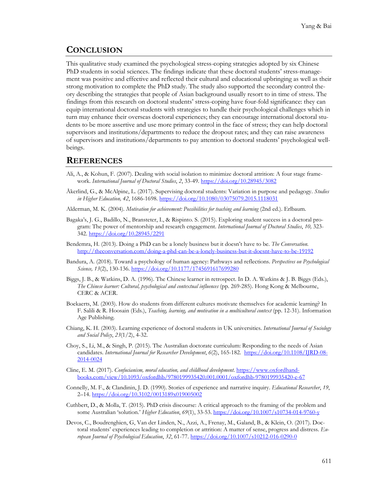### **CONCLUSION**

This qualitative study examined the psychological stress-coping strategies adopted by six Chinese PhD students in social sciences. The findings indicate that these doctoral students' stress-management was positive and effective and reflected their cultural and educational upbringing as well as their strong motivation to complete the PhD study. The study also supported the secondary control theory describing the strategies that people of Asian background usually resort to in time of stress. The findings from this research on doctoral students' stress-coping have four-fold significance: they can equip international doctoral students with strategies to handle their psychological challenges which in turn may enhance their overseas doctoral experiences; they can encourage international doctoral students to be more assertive and use more primary control in the face of stress; they can help doctoral supervisors and institutions/departments to reduce the dropout rates; and they can raise awareness of supervisors and institutions/departments to pay attention to doctoral students' psychological wellbeings.

#### **REFERENCES**

- Ali, A., & Kohun, F. (2007). Dealing with social isolation to minimize doctoral attrition: A four stage framework. *International Journal of Doctoral Studies*, *2*, 33-49.<https://doi.org/10.28945/3082>
- Åkerlind, G., & McAlpine, L. (2017). Supervising doctoral students: Variation in purpose and pedagogy. *Studies in Higher Education, 42*, 1686-1698. <https://doi.org/10.1080/03075079.2015.1118031>
- Alderman, M. K. (2004). *Motivation for achievement: Possibilities for teaching and learning* (2nd ed.). Erlbaum.
- Bagaka's, J. G., Badillo, N., Bransteter, I., & Rispinto. S. (2015). Exploring student success in a doctoral program: The power of mentorship and research engagement. *International Journal of Doctoral Studies*, *10,* 323- 342[. https://doi.org/10.28945/2291](https://doi.org/10.28945/2291)
- Bendemra, H. (2013). Doing a PhD can be a lonely business but it doesn't have to be. *The Conversation*. [http://theconversation.com/doing-](http://theconversation.com/doing-a-phd-can-be-a-lonely-business-but-it-doesnt-have-to-be-19192)a-phd-can-be-a-lonely-business-but-it-doesnt-have-to-be-19192
- Bandura, A. (2018). Toward a psychology of human agency: Pathways and reflections. *Perspectives on Psychological Science, 13*(2), 130-136.<https://doi.org/10.1177/1745691617699280>
- Biggs, J. B., & Watkins, D. A. (1996). The Chinese learner in retrospect. In D. A. Watkins & J. B. Biggs (Eds.), *The Chinese learner: Cultural, psychological and contextual influences* (pp. 269-285). Hong Kong & Melbourne, CERC & ACER.
- Boekaerts, M. (2003). How do students from different cultures motivate themselves for academic learning? In F. Salili & R. Hoosain (Eds.), *Teaching, learning, and motivation in a multicultural context* (pp. 12-31). Information Age Publishing.
- Chiang, K. H. (2003). Learning experience of doctoral students in UK universities. *International Journal of Sociology and Social Policy*, *23*(1/2), 4-32.
- Choy, S., Li, M., & Singh, P. (2015). The Australian doctorate curriculum: Responding to the needs of Asian candidates. *International Journal for Researcher Development*, *6*(2), 165-182. [https://doi.org/10.1108/IJRD-08-](https://doi.org/10.1108/IJRD-08-2014-0024) [2014-0024](https://doi.org/10.1108/IJRD-08-2014-0024)
- Cline, E. M. (2017). *Confucianism, moral education, and childhood development*. [https://www.oxfordhand](https://www.oxfordhandbooks.com/view/10.1093/oxfordhb/9780199935420.001.0001/oxfordhb-9780199935420-e-67)[books.com/view/10.1093/oxfordhb/9780199935420.001.0001/oxfordhb-9780199935420-](https://www.oxfordhandbooks.com/view/10.1093/oxfordhb/9780199935420.001.0001/oxfordhb-9780199935420-e-67)e-67
- Connelly, M. F., & Clandinin, J. D. (1990). Stories of experience and narrative inquiry. *Educational Researcher*, *19*, 2–14.<https://doi.org/10.3102/0013189x019005002>
- Cuthbert, D., & Molla, T. (2015). PhD crisis discourse: A critical approach to the framing of the problem and some Australian 'solution.' *Higher Education*, *69*(1), 33-53[. https://doi.org/10.1007/s10734-014-9760-](https://doi.org/10.1007/s10734-014-9760-y)y
- Devos, C., Boudrenghien, G, Van der Linden, N., Azzi, A., Frenay, M., Galand, B., & Klein, O. (2017). Doctoral students' experiences leading to completion or attrition: A matter of sense, progress and distress. *European Journal of Psychological Education*, *32*, 61-77.<https://doi.org/10.1007/s10212-016-0290-0>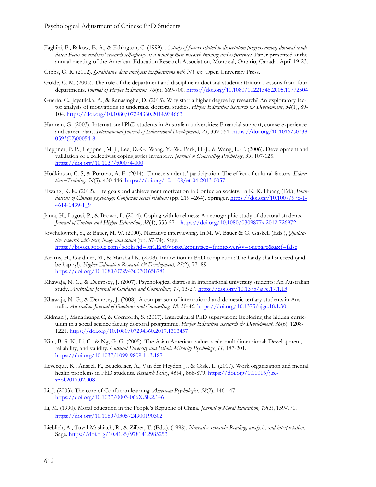- Faghihi, F., Rakow, E. A., & Ethington, C. (1999). *A study of factors related to dissertation progress among doctoral candidates: Focus on students' research self-efficacy as a result of their research training and experiences.* Paper presented at the annual meeting of the American Education Research Association, Montreal, Ontario, Canada. April 19-23.
- Gibbs, G. R. (2002). *Qualitative data analysis: Explorations with NVivo.* Open University Press.
- Golde, C. M. (2005). The role of the department and discipline in doctoral student attrition: Lessons from four departments. *Journal of Higher Education*, *76*(6), 669-700[. https://doi.org/10.1080/00221546.2005.11772304](https://doi.org/10.1080/00221546.2005.11772304)
- Guerin, C., Jayatilaka, A., & Ranasinghe, D. (2015). Why start a higher degree by research? An exploratory factor analysis of motivations to undertake doctoral studies. *Higher Education Research & Development*, *34*(1), 89- 104. <https://doi.org/10.1080/07294360.2014.934663>
- Harman, G. (2003). International PhD students in Australian universities: Financial support, course experience and career plans. *International Journal of Educational Development*, *23*, 339-351. [https://doi.org/10.1016/s0738-](https://doi.org/10.1016/s0738-0593(02)00054-8) [0593\(02\)00054-8](https://doi.org/10.1016/s0738-0593(02)00054-8)
- Heppner, P. P., Heppner, M. J., Lee, D.-G., Wang, Y.–W., Park, H.-J., & Wang, L.-F. (2006). Development and validation of a collectivist coping styles inventory. *Journal of Counselling Psychology*, *53*, 107-125. <https://doi.org/10.1037/t00074-000>
- Hodkinson, C. S, & Poropat, A. E. (2014). Chinese students' participation: The effect of cultural factors. *Education+Training*, *56*(5), 430-446[. https://doi.org/10.1108/et-04-2013-0057](https://doi.org/10.1108/et-04-2013-0057)
- Hwang, K. K. (2012). Life goals and achievement motivation in Confucian society. In K. K. Huang (Ed.), *Foundations of Chinese psychology: Confucian social relations* (pp. 219 –264). Springer. [https://doi.org/10.1007/978-1-](https://doi.org/10.1007/978-1-4614-1439-1_9) [4614-1439-1\\_9](https://doi.org/10.1007/978-1-4614-1439-1_9)
- Janta, H., Lugosi, P., & Brown, L. (2014). Coping with loneliness: A netnographic study of doctoral students. *Journal of Further and Higher Education*, *38*(4), 553-571. <https://doi.org/10.1080/0309877x.2012.726972>
- Jovchelovitch, S., & Bauer, M. W. (2000). Narrative interviewing. In M. W. Bauer & G. Gaskell (Eds.), *Qualitative research with text, image and sound* (pp. 57-74). Sage. <https://books.google.com/books?id=gnCEgt0VopkC&printsec=frontcover#v=onepage&q&f=false>
- Kearns, H., Gardiner, M., & Marshall K. (2008). Innovation in PhD completion: The hardy shall succeed (and be happy!). *Higher Education Research & Development*, *27*(2), 77–89. <https://doi.org/10.1080/07294360701658781>
- Khawaja, N. G., & Dempsey, J. (2007). Psychological distress in international university students: An Australian study. *Australian Journal of Guidance and Counselling*, *17*, 13-27.<https://doi.org/10.1375/ajgc.17.1.13>
- Khawaja, N. G., & Dempsey, J. (2008). A comparison of international and domestic tertiary students in Australia. *Australian Journal of Guidance and Counselling*, *18*, 30-46.<https://doi.org/10.1375/ajgc.18.1.30>
- Kidman J, Manathunga C, & Cornforth, S. (2017). Intercultural PhD supervision: Exploring the hidden curriculum in a social science faculty doctoral programme. *Higher Education Research & Development*, 36(6), 1208-1221. <https://doi.org/10.1080/07294360.2017.1303457>
- Kim, B. S. K., Li, C., & Ng, G. G. (2005). The Asian American values scale-multidimensional: Development, reliability, and validity. *Cultural Diversity and Ethnic Minority Psychology*, *11*, 187-201. <https://doi.org/10.1037/1099-9809.11.3.187>
- Levecque, K., Anseel, F., Beuckelaer, A., Van der Heyden, J., & Gisle, L. (2017). Work organization and mental health problems in PhD students. *Research Policy*, 46(4), 868-879. [https://doi.org/10.1016/j.re](https://doi.org/10.1016/j.respol.2017.02.008)[spol.2017.02.008](https://doi.org/10.1016/j.respol.2017.02.008)
- Li, J. (2003). The core of Confucian learning. *American Psychologist*, *58*(2), 146-147. <https://doi.org/10.1037/0003-066X.58.2.146>
- Li, M. (1990). Moral education in the People's Republic of China. *Journal of Moral Education, 19*(3), 159-171. <https://doi.org/10.1080/0305724900190302>
- Lieblich, A., Tuval-Mashiach, R., & Zilber, T. (Eds.). (1998). *Narrative research: Reading, analysis, and interpretation*. Sage. <https://doi.org/10.4135/9781412985253>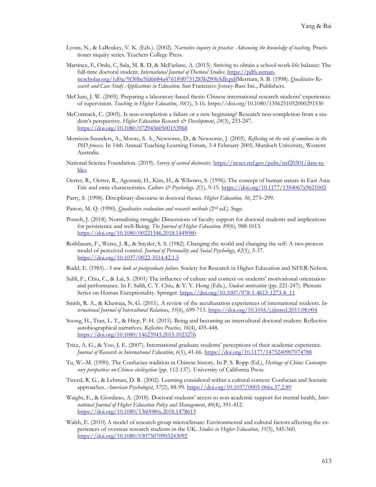- Lyons, N., & LaBoskey, V. K. (Eds.). (2002). *Narrative inquiry in practice: Advancing the knowledge of teaching*. Practitioner inquiry series. Teachers College Press.
- Martinez, E, Ordu, C, Sala, M. R. D, & McFarlane, A. (2013). Striving to obtain a school-work-life balance: The full-time doctoral student. *International Journal of Doctoral Studies*. [https://pdfs.seman](https://pdfs.semanticscholar.org/1d0a/9f30be5fd6684a4761f0f0751283b290b5db.pdf)[ticscholar.org/1d0a/9f30be5fd6684a4761f0f0751283b290b5db.pdfM](https://pdfs.semanticscholar.org/1d0a/9f30be5fd6684a4761f0f0751283b290b5db.pdf)erriam, S. B. (1998). *Qualitative Research and Case Study Applications in Education*. San Francisco: Jossey-Bass Inc., Publishers.
- McClure, J. W. (2005). Preparing a laboratory-based thesis: Chinese international research students' experiences of supervision. *Teaching in Higher Education*, *10*(1), 3-16. https://doi.org/10.1080/1356251052000291530
- McCormack, C. (2005). Is non-completion a failure or a new beginning? Research non-completion from a student's perspective. *Higher Education Research & Development*, *24*(3), 233-247. <https://doi.org/10.1080/07294360500153968>
- Morrison-Saunders, A., Moore, S. A., Newsome, D., & Newsome, J. (2005). *Reflecting on the role of emotions in the PhD process*. In 14th Annual Teaching Learning Forum, 3-4 February 2005, Murdoch University, Western Australia.
- National Science Foundation. (2019). *Survey of earned doctorates*. [https://ncses.nsf.gov/pubs/nsf20301/data-ta](https://ncses.nsf.gov/pubs/nsf20301/data-tables)[bles](https://ncses.nsf.gov/pubs/nsf20301/data-tables)
- Oerter, R., Oerter, R., Agostani, H., Kim, H., & Wibowo, S. (1996). The concept of human nature in East Asia: Etic and emic characteristics. *Culture & Psychology, 2*(1), 9-15.<https://doi.org/10.1177/1354067x9621002>
- Parry, S. (1998). Disciplinary discourse in doctoral theses. *Higher Education, 36*, 273–299.
- Patton, M. Q. (1990). *Qualitative evaluation and research methods* (2<sup>nd</sup> ed.). Sage.
- Posselt, J. (2018). Normalizing struggle: Dimensions of faculty support for doctoral students and implications for persistence and well-Being. *The Journal of Higher Education, 89*(6), 988-1013. <https://doi.org/10.1080/00221546.2018.1449080>
- Rothbaum, F., Weisz, J. R., & Snyder, S. S. (1982). Changing the world and changing the self: A two-process model of perceived control. *Journal of Personality and Social Psychology*, *42*(1), 5-37. <https://doi.org/10.1037/0022-3514.42.1.5>
- Rudd, E. (1985). *A new look at postgraduate failure.* Society for Research in Higher Education and NFER-Nelson.
- Salili, F., Chiu, C., & Lai, S. (2001) The influence of culture and context on students' motivational orientation and performance. In F. Salili, C. Y. Chiu, & Y. Y. Hong (Eds.), *Student motivation* (pp. 221-247). Plenum Series on Human Exceptionality. Springer. [https://doi.org/10.1007/978-1-4615-1273-8\\_11](https://doi.org/10.1007/978-1-4615-1273-8_11)
- Smith, R. A., & Khawaja, N. G. (2011). A review of the acculturation experiences of international students. *International Journal of Intercultural Relations*, *35*(6), 699-713.<https://doi.org/10.1016/j.ijintrel.2011.08.004>
- Soong, H., Tran, L. T., & Hiep, P. H. (2015). Being and becoming an intercultural doctoral student: Reflective autobiographical narratives. *Reflective Practice*, *16*(4), 435-448. <https://doi.org/10.1080/14623943.2015.1023276>
- Trice, A. G., & Yoo, J. E. (2007). International graduate students' perceptions of their academic experience. *Journal of Research in International Education*, *6*(1), 41-66. <https://doi.org/10.1177/1475240907074788>
- Tu, W.–M. (1990). The Confucian tradition in Chinese history. In P. S. Ropp (Ed.), *Heritage of China: Contemporary perspectives on Chinese civilization* (pp. 112-137). University of California Press.
- Tweed, R. G., & Lehman, D. R. (2002). Learning considered within a cultural context: Confucian and Socratic approaches. *American Psychologist*, *57*(2), 88-99.<https://doi.org/10.1037/0003-066x.57.2.89>
- Waight, E., & Giordano, A. (2018). Doctoral students' access to non-academic support for mental health, *International Journal of Higher Education Policy and Management*, *40*(4), 391-412. <https://doi.org/10.1080/1360080x.2018.1478613>
- Walsh, E. (2010) A model of research group microclimate: Environmental and cultural factors affecting the experiences of overseas research students in the UK. *Studies in Higher Education*, *35*(5), 545-560. <https://doi.org/10.1080/03075070903243092>